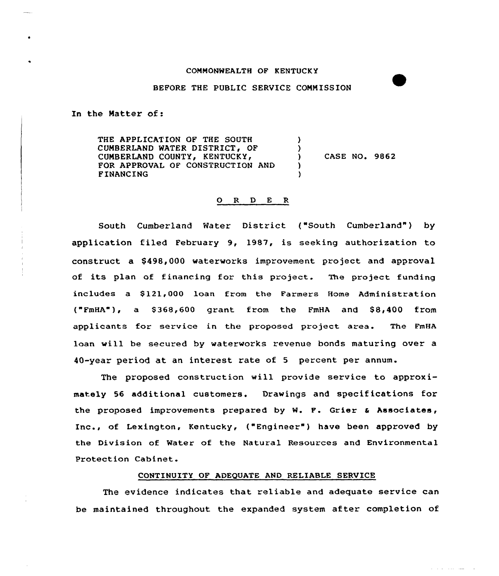## COMMONWEALTH OF KENTUCKY

# BEFORE THE PUBLIC SERVICE COMMISSION

In the Matter of:

THE APPLICATION OF THE SOUTH CUMBERLAND WATER DISTRICT, OF CUMBERLAND COUNTY, KENTUCKY, FOR APPROVAL OF CONSTRUCTION AND FINANCING ) ) CASE NO. 9862 ) )

### 0 R <sup>D</sup> E R

South Cumberland Water District ("South Cumberland") by application filed February 9, 1987, is seeking authorization to construct a \$498,000 waterworks improvement project and approval of its plan of financing for this project. The project funding includes a 5121,000 loan from the Farmers Home Administration ("FmHA"), a 5368,600 grant from the FmHA and 58,400 from applicants for service in the proposed project area. The FmHA loan will be secured by waterworks revenue bonds maturing over a 40-year period at an interest rate of <sup>5</sup> percent per annum.

The proposed construction will provide service to approximately 56 additional customers. Drawings and specifications for the proposed improvements prepared by W. P. Grier <sup>a</sup> Associates, Inc., of Lexington, Kentucky, ("Engineer" ) have been approved by the Division of Water of the Natural Resources and Environmental Protection Cabinet.

# CONTINUITY OP ADEQUATE AND RELIABLE SERVICE

The evidence indicates that reliable and adequate service can be maintained throughout the expanded system after completion of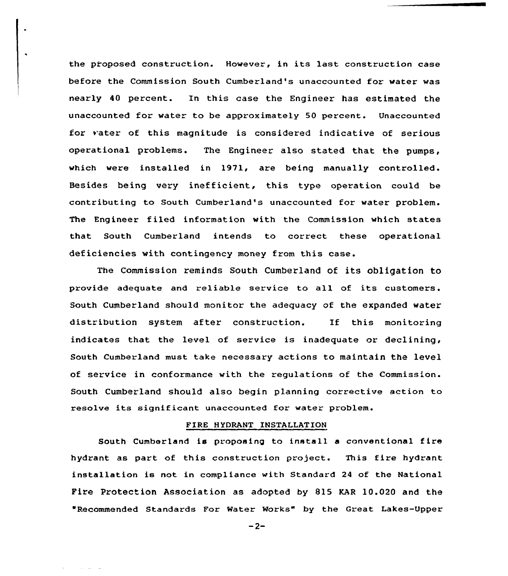the proposed construction. However, in its last construction case before the Commission South Cumberland's unaccounted for water was nearly 40 percent. In this case the Engineer has estimated the unaccounted for water to be approximately 50 percent. Unaccounted for vater of this magnitude is considered indicative of serious operational problems. The Engineer also stated that the pumps, which were installed in 1971, are being manually controlled. Besides being very inefficient, this type operation could be contributing to South Cumberland's unaccounted for water problem. The Engineer filed information with the Commission which states that South Cumberland intends to correct these operational deficiencies with contingency money from this case.

The Commission reminds South Cumberland of its obligation to provide adequate and reliable service to all of its customers. South Cumberland should monitor the adequacy of the expanded water distribution system after construction. If this monitoring indicates that the level of service is inadequate or declining, South Cumberland must take necessary actions to maintain the level of service in conformance with the regulations of the Commission. South Cumberland should also begin planning corrective action to resolve its significant unaccounted for water problem.

# FIRE HYDRANT INSTALLATION

South Cumberland is proposing to install a conventional fire hydrant as part of this construction project. This fire hydrant installation is not in compliance with Standard <sup>24</sup> of the National Fire Protection Association as adopted by 815 KAR 10.020 and the 'Recommended Standards For Water Works" by the Great Lakes-Upper

 $-2-$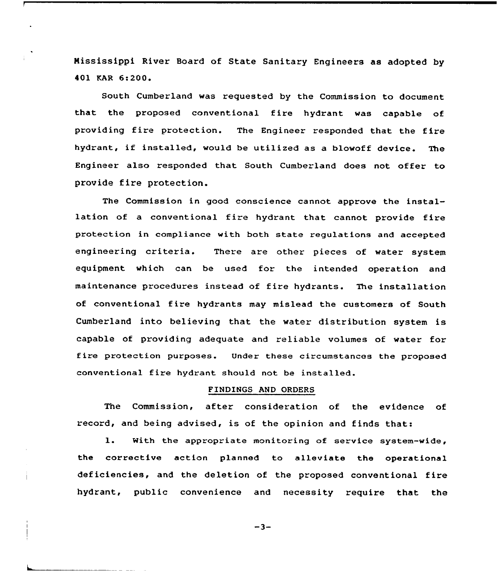Mississippi River Board of State Sanitary Engineers as adopted by 401 KAR 6:200<sup>~</sup>

South Cumberland was requested by the Commission to document that the proposed conventional fire hydrant was capable of providing fire protection. The Engineer responded that the fire hydrant, if installed, would be utilized as <sup>a</sup> blowoff device. The Engineer also responded that South Cumberland does not offer to provide fire protection.

The Commission in good conscience cannot approve the installation of a conventional fire hydrant that cannot provide fire protection in compliance with both state regulations and accepted engineering criteria. There are other pieces of water system equipment which can, be used for the intended operation and maintenance procedures instead of fire hydrants. The installation of conventional fire hydrants may mislead the customers of South Cumberland into believing that the water distribution system is capable of providing adequate and reliable volumes of water for fire protection purposes. Under these circumstances the proposed conventional fire hydrant should not be installed.

#### FINDINGS AND ORDERS

The Commission, after consideration of the evidence of record, and being advised, is of the opinion and finds that:

1. With the appropriate monitoring of service system-wide, the corrective action planned to alleviate the operational deficiencies, and the deletion of the proposed conventional fire hydrant, public convenience and necessity require that the

 $-3-$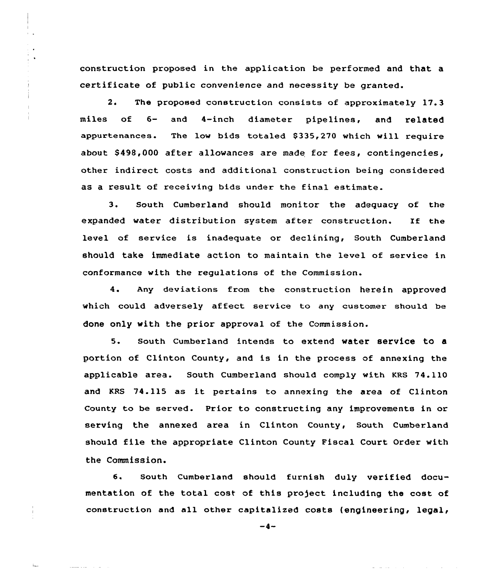construction proposed in the application be performed and that a certificate of public convenience and necessity be granted.

2. The proposed construction consists of approximately 17.3 miles of 6- and 4-inch diameter pipeline<mark>s, and relate</mark> appurtenances. The low bids totaled \$335,270 which will require about \$498,000 after allowances are made for fees, contingencies, other indirect costs and additional construction being considered as a result of receiving bids under the final estimate.

3. South Cumberland should monitor the adequacy of the expanded water distribution system after construction. If the level of service is inadequate or declining, South Cumberland should take immediate action to maintain the level of service in conformance with the regulations of the Commission.

4. Any deviations from the construction herein approved which could adversely affect service to any customer should be done only with the prior approval of the Commission.

5. South Cumberland intends to extend water SerViCe tO a portion of Clinton County, and is in the process of annexing the applicable area. South Cumberland should comply with KRS 74.110 and KRS 74.115 as it pertains to annexing the area of Clinton County to be served. Prior to constructing any improvements in or serving the annexed area in Clinton County, South Cumberland should file the appropriate Clinton County Fiscal Court Order with the Commission.

6. South Cumberland should furnish duly verified documentation of the total cost of this project including the cost of construction and all other capitalized costs (engineering, legal,

 $-4-$ 

 $\int_{\Delta}$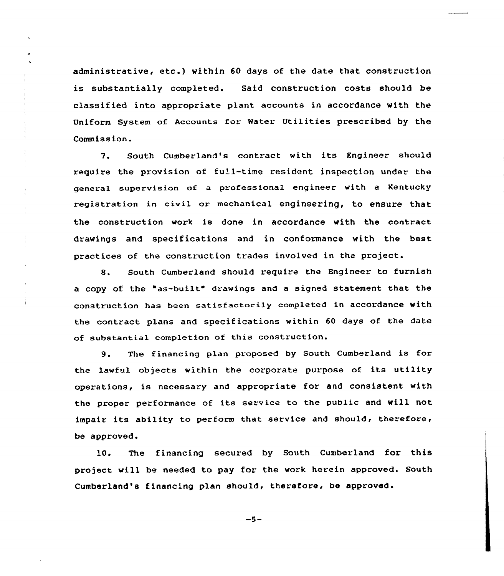administrative, etc.) within <sup>60</sup> days of the date that construction is substantially completed. Said construction costs should be classified into appxopriate plant accounts in accordance with the Uniform System of Accounts for Water Utilities prescribed by the Commission.

7. South Cumbexland's contxact with its Engineer should require the provision of full-time resident inspection under the general supervision of a professional engineer with a Kentucky registration in civil or mechanical engineering, to ensure that the construction work is done in accordance with the contract drawings and specifications and in conformance with the best practices of the construction trades involved in the project.

 $\frac{1}{4}$ 

8. South Cumberland should requixe the Engineer to furnish <sup>a</sup> copy of the "as-built" drawings and <sup>a</sup> signed statement that the construction has been satisfactorily completed in accordance with the contract plans and specifications within 60 days of the date of substantial completion of this construction.

9. The financing plan proposed by South Cumberland is for the lawful objects within the corporate purpose of its utility operations, is necessary and appropxiate for and consistent with the proper performance of its service to the public and will not impair its ability to pexfoxm that sexvice and should, therefore, be approved.

10. The financing secuxed by South Cumberland for this project will be needed to pay for the work herein approved. South Cumbex'land's financing plan should, therefoxe, be approved.

 $-5-$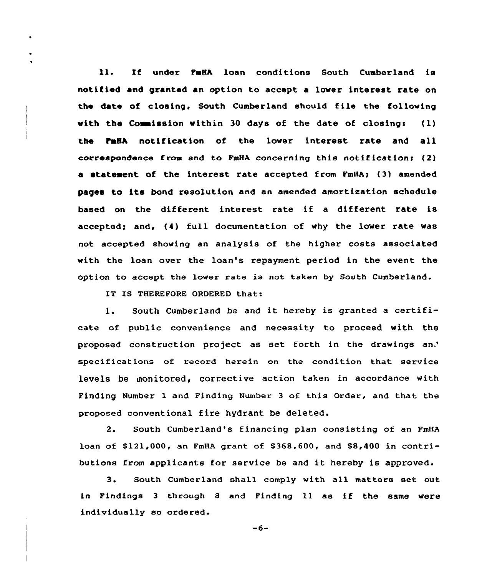11. lf under FaHA loan conditions South Cumberland is notified and granted an option to accept a lover interest rate on the date of closing, South Cumberland should file the following with the Commission within 30 days of the date of closing:  $(1)$ the FmHA notification of the lower interest rate and all correspondence from and to FmHA concerning this notification< (2) a statement of the interest rate accepted from FmHA; (3) amended pages to its bond resolution and an amended amortization schedule based on the different interest rate if <sup>a</sup> different rate is accepted; and, (4) full documentation of why the lower rate was not accepted showing an analysis of the higher costs associated with the loan over the loan's repayment period in the event the option to accept the lower rate is not taken by South Cumberland.

IT IS THEREFORE ORDERED that:

 $\ddot{\phantom{0}}$ 

1. South Cumberland be and it hereby is granted <sup>a</sup> certificate of public convenience and necessity to proceed with the proposed construction project as set forth in the drawings specifications of record herein on the condition that service levels be monitored, corrective action taken in accordance with Finding Number 1 and Finding Number <sup>3</sup> of this Order, and that the proposed conventional fire hydrant be deleted.

2. South Cumberland's financing plan consisting of an FmHA loan of \$121,000, an FmHA grant of \$368,600, and \$8,400 in contributions from applicants for service be and it hereby is approved.

3. South Cumberland shall comply with all matters set out in Findings <sup>3</sup> through <sup>8</sup> and Finding ll as if the same were individually so ordered.

 $-6-$